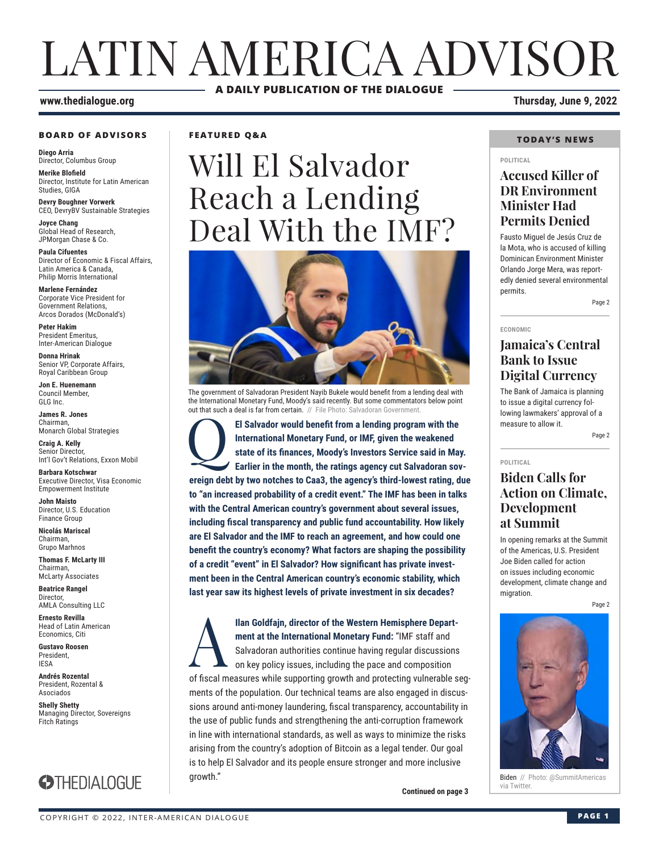## LATIN AMERICA ADVISOR **A DAILY PUBLICATION OF THE DIALOGUE**

#### **BOARD OF ADVISORS**

**Diego Arria** Director, Columbus Group

**Merike Blofield** Director, Institute for Latin American Studies, GIGA

**Devry Boughner Vorwerk** CEO, DevryBV Sustainable Strategies

**Joyce Chang** Global Head of Research, JPMorgan Chase & Co.

**Paula Cifuentes** Director of Economic & Fiscal Affairs, Latin America & Canada, Philip Morris International

**Marlene Fernández** Corporate Vice President for Government Relations, Arcos Dorados (McDonald's)

**Peter Hakim** President Emeritus, Inter-American Dialogue

**Donna Hrinak** Senior VP, Corporate Affairs, Royal Caribbean Group

**Jon E. Huenemann** Council Member, GLG Inc.

**James R. Jones** Chairman, Monarch Global Strategies

**Craig A. Kelly** Senior Director, Int'l Gov't Relations, Exxon Mobil

**Barbara Kotschwar** Executive Director, Visa Economic Empowerment Institute

**John Maisto** Director, U.S. Education Finance Group

**Nicolás Mariscal** Chairman, Grupo Marhnos

**Thomas F. McLarty III** Chairman, McLarty Associates

**Beatrice Rangel**  Director, AMLA Consulting LLC

**Ernesto Revilla**  Head of Latin American

Economics, Citi **Gustavo Roosen** President, IESA

**Andrés Rozental**  President, Rozental & Asociados

**Shelly Shetty** Managing Director, Sovereigns Fitch Ratings



### **FEATURED Q&A**

## Will El Salvador Reach a Lending Deal With the IMF?



The government of Salvadoran President Nayib Bukele would benefit from a lending deal with the International Monetary Fund, Moody's said recently. But some commentators below point out that such a deal is far from certain. // File Photo: Salvadoran Governmer

El Salvador would benefit from a lending program with the International Monetary Fund, or IMF, given the weakened state of its finances, Moody's Investors Service said in May<br>Earlier in the month, the ratings agency cut Sa **International Monetary Fund, or IMF, given the weakened state of its finances, Moody's Investors Service said in May. Earlier in the month, the ratings agency cut Salvadoran sovereign debt by two notches to Caa3, the agency's third-lowest rating, due to "an increased probability of a credit event." The IMF has been in talks with the Central American country's government about several issues, including fiscal transparency and public fund accountability. How likely are El Salvador and the IMF to reach an agreement, and how could one benefit the country's economy? What factors are shaping the possibility of a credit "event" in El Salvador? How significant has private investment been in the Central American country's economic stability, which last year saw its highest levels of private investment in six decades?**

**IIan Goldfajn, director of the Western Hemisphere Depart-<br>
<b>A**<br> **A** Salvadoran authorities continue having regular discussions<br>
on key policy issues, including the pace and composition<br>
of fiscal magazing while supporting **ment at the International Monetary Fund:** "IMF staff and Salvadoran authorities continue having regular discussions on key policy issues, including the pace and composition of fiscal measures while supporting growth and protecting vulnerable segments of the population. Our technical teams are also engaged in discussions around anti-money laundering, fiscal transparency, accountability in the use of public funds and strengthening the anti-corruption framework in line with international standards, as well as ways to minimize the risks arising from the country's adoption of Bitcoin as a legal tender. Our goal is to help El Salvador and its people ensure stronger and more inclusive growth."

**Continued on page 3** 

### **www.thedialogue.org Thursday, June 9, 2022**

### **TODAY'S NEWS**

#### **POLITICAL**

### **Accused Killer of DR Environment Minister Had Permits Denied**

Fausto Miguel de Jesús Cruz de la Mota, who is accused of killing Dominican Environment Minister Orlando Jorge Mera, was reportedly denied several environmental permits.

Page 2

**ECONOMIC**

### **Jamaica's Central Bank to Issue Digital Currency**

The Bank of Jamaica is planning to issue a digital currency following lawmakers' approval of a measure to allow it.

Page 2

#### **POLITICAL**

### **Biden Calls for Action on Climate, Development at Summit**

In opening remarks at the Summit of the Americas, U.S. President Joe Biden called for action on issues including economic development, climate change and migration.

Page 2



Biden // Photo: @SummitAmericas<br>via Twitter.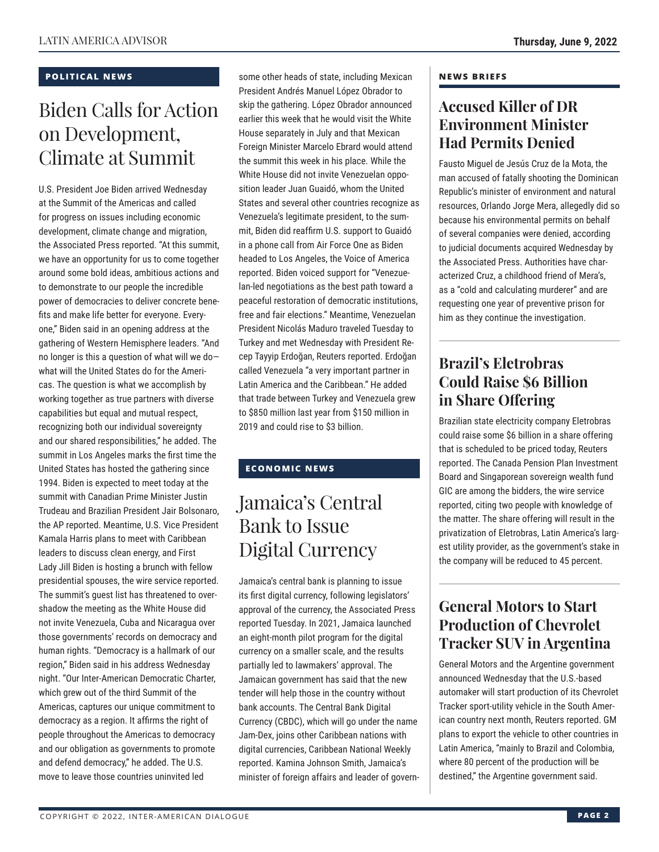### **POLITICAL NEWS**

### Biden Calls for Action on Development, Climate at Summit

U.S. President Joe Biden arrived Wednesday at the Summit of the Americas and called for progress on issues including economic development, climate change and migration, the Associated Press reported. "At this summit, we have an opportunity for us to come together around some bold ideas, ambitious actions and to demonstrate to our people the incredible power of democracies to deliver concrete benefits and make life better for everyone. Everyone," Biden said in an opening address at the gathering of Western Hemisphere leaders. "And no longer is this a question of what will we do what will the United States do for the Americas. The question is what we accomplish by working together as true partners with diverse capabilities but equal and mutual respect, recognizing both our individual sovereignty and our shared responsibilities," he added. The summit in Los Angeles marks the first time the United States has hosted the gathering since 1994. Biden is expected to meet today at the summit with Canadian Prime Minister Justin Trudeau and Brazilian President Jair Bolsonaro, the AP reported. Meantime, U.S. Vice President Kamala Harris plans to meet with Caribbean leaders to discuss clean energy, and First Lady Jill Biden is hosting a brunch with fellow presidential spouses, the wire service reported. The summit's guest list has threatened to overshadow the meeting as the White House did not invite Venezuela, Cuba and Nicaragua over those governments' records on democracy and human rights. "Democracy is a hallmark of our region," Biden said in his address Wednesday night. "Our Inter-American Democratic Charter, which grew out of the third Summit of the Americas, captures our unique commitment to democracy as a region. It affirms the right of people throughout the Americas to democracy and our obligation as governments to promote and defend democracy," he added. The U.S. move to leave those countries uninvited led

some other heads of state, including Mexican President Andrés Manuel López Obrador to skip the gathering. López Obrador announced earlier this week that he would visit the White House separately in July and that Mexican Foreign Minister Marcelo Ebrard would attend the summit this week in his place. While the White House did not invite Venezuelan opposition leader Juan Guaidó, whom the United States and several other countries recognize as Venezuela's legitimate president, to the summit, Biden did reaffirm U.S. support to Guaidó in a phone call from Air Force One as Biden headed to Los Angeles, the Voice of America reported. Biden voiced support for "Venezuelan-led negotiations as the best path toward a peaceful restoration of democratic institutions, free and fair elections." Meantime, Venezuelan President Nicolás Maduro traveled Tuesday to Turkey and met Wednesday with President Recep Tayyip Erdoğan, Reuters reported. Erdoğan called Venezuela "a very important partner in Latin America and the Caribbean." He added that trade between Turkey and Venezuela grew to \$850 million last year from \$150 million in 2019 and could rise to \$3 billion.

### **ECONOMIC NEWS**

### Jamaica's Central Bank to Issue Digital Currency

Jamaica's central bank is planning to issue its first digital currency, following legislators' approval of the currency, the Associated Press reported Tuesday. In 2021, Jamaica launched an eight-month pilot program for the digital currency on a smaller scale, and the results partially led to lawmakers' approval. The Jamaican government has said that the new tender will help those in the country without bank accounts. The Central Bank Digital Currency (CBDC), which will go under the name Jam-Dex, joins other Caribbean nations with digital currencies, Caribbean National Weekly reported. Kamina Johnson Smith, Jamaica's minister of foreign affairs and leader of govern-

### **NEWS BRIEFS**

### **Accused Killer of DR Environment Minister Had Permits Denied**

Fausto Miguel de Jesús Cruz de la Mota, the man accused of fatally shooting the Dominican Republic's minister of environment and natural resources, Orlando Jorge Mera, allegedly did so because his environmental permits on behalf of several companies were denied, according to judicial documents acquired Wednesday by the Associated Press. Authorities have characterized Cruz, a childhood friend of Mera's, as a "cold and calculating murderer" and are requesting one year of preventive prison for him as they continue the investigation.

### **Brazil's Eletrobras Could Raise \$6 Billion in Share Offering**

Brazilian state electricity company Eletrobras could raise some \$6 billion in a share offering that is scheduled to be priced today, Reuters reported. The Canada Pension Plan Investment Board and Singaporean sovereign wealth fund GIC are among the bidders, the wire service reported, citing two people with knowledge of the matter. The share offering will result in the privatization of Eletrobras, Latin America's largest utility provider, as the government's stake in the company will be reduced to 45 percent.

### **General Motors to Start Production of Chevrolet Tracker SUV in Argentina**

General Motors and the Argentine government announced Wednesday that the U.S.-based automaker will start production of its Chevrolet Tracker sport-utility vehicle in the South American country next month, Reuters reported. GM plans to export the vehicle to other countries in Latin America, "mainly to Brazil and Colombia, where 80 percent of the production will be destined," the Argentine government said.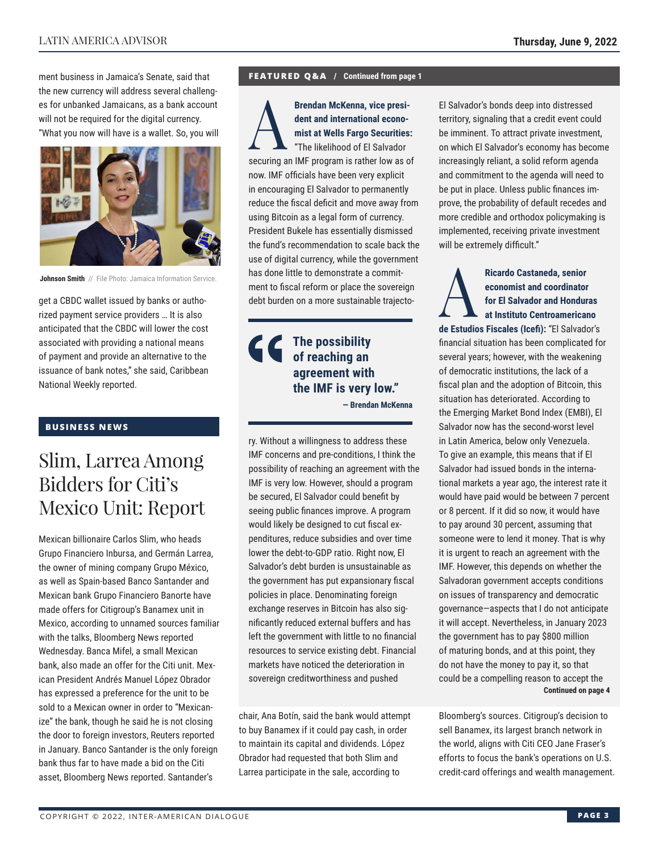ment business in Jamaica's Senate, said that the new currency will address several challenges for unbanked Jamaicans, as a bank account will not be required for the digital currency. "What you now will have is a wallet. So, you will



**Johnson Smith** // File Photo: Jamaica Information Service.

get a CBDC wallet issued by banks or authorized payment service providers … It is also anticipated that the CBDC will lower the cost associated with providing a national means of payment and provide an alternative to the issuance of bank notes," she said, Caribbean National Weekly reported.

### **BUSINESS NEWS**

### Slim, Larrea Among Bidders for Citi's Mexico Unit: Report

Mexican billionaire Carlos Slim, who heads Grupo Financiero Inbursa, and Germán Larrea, the owner of mining company Grupo México, as well as Spain-based Banco Santander and Mexican bank Grupo Financiero Banorte have made offers for Citigroup's Banamex unit in Mexico, according to unnamed sources familiar with the talks, Bloomberg News reported Wednesday. Banca Mifel, a small Mexican bank, also made an offer for the Citi unit. Mexican President Andrés Manuel López Obrador has expressed a preference for the unit to be sold to a Mexican owner in order to "Mexicanize" the bank, though he said he is not closing the door to foreign investors, Reuters reported in January. Banco Santander is the only foreign bank thus far to have made a bid on the Citi asset, Bloomberg News reported. Santander's

#### **FEATURED Q&A / Continued from page 1**

**Brendan McKenna, vice presi-<br>dent and international econo-<br>mist at Wells Fargo Securities<br>"The likelihood of El Salvador<br>securities on IME pregram is rather low as a dent and international economist at Wells Fargo Securities:** "The likelihood of El Salvador securing an IMF program is rather low as of now. IMF officials have been very explicit in encouraging El Salvador to permanently reduce the fiscal deficit and move away from using Bitcoin as a legal form of currency. President Bukele has essentially dismissed the fund's recommendation to scale back the use of digital currency, while the government has done little to demonstrate a commitment to fiscal reform or place the sovereign debt burden on a more sustainable trajecto-

### **The possibility of reaching an agreement with the IMF is very low."**

**— Brendan McKenna**

ry. Without a willingness to address these IMF concerns and pre-conditions, I think the possibility of reaching an agreement with the IMF is very low. However, should a program be secured, El Salvador could benefit by seeing public finances improve. A program would likely be designed to cut fiscal expenditures, reduce subsidies and over time lower the debt-to-GDP ratio. Right now, El Salvador's debt burden is unsustainable as the government has put expansionary fiscal policies in place. Denominating foreign exchange reserves in Bitcoin has also significantly reduced external buffers and has left the government with little to no financial resources to service existing debt. Financial markets have noticed the deterioration in sovereign creditworthiness and pushed

chair, Ana Botín, said the bank would attempt to buy Banamex if it could pay cash, in order to maintain its capital and dividends. López Obrador had requested that both Slim and Larrea participate in the sale, according to

El Salvador's bonds deep into distressed territory, signaling that a credit event could be imminent. To attract private investment, on which El Salvador's economy has become increasingly reliant, a solid reform agenda and commitment to the agenda will need to be put in place. Unless public finances improve, the probability of default recedes and more credible and orthodox policymaking is implemented, receiving private investment will be extremely difficult."

Ricardo Castaneda, senior<br>
economist and coordinator<br>
for El Salvador and Hondur<br>
at Instituto Centroamerica<br>
de Estudios Fiscales (les<sup>5</sup>): "El Salvado **economist and coordinator for El Salvador and Honduras at Instituto Centroamericano de Estudios Fiscales (Icefi):** "El Salvador's financial situation has been complicated for several years; however, with the weakening of democratic institutions, the lack of a fiscal plan and the adoption of Bitcoin, this situation has deteriorated. According to the Emerging Market Bond Index (EMBI), El Salvador now has the second-worst level in Latin America, below only Venezuela. To give an example, this means that if El Salvador had issued bonds in the international markets a year ago, the interest rate it would have paid would be between 7 percent or 8 percent. If it did so now, it would have to pay around 30 percent, assuming that someone were to lend it money. That is why it is urgent to reach an agreement with the IMF. However, this depends on whether the Salvadoran government accepts conditions on issues of transparency and democratic governance—aspects that I do not anticipate it will accept. Nevertheless, in January 2023 the government has to pay \$800 million of maturing bonds, and at this point, they do not have the money to pay it, so that could be a compelling reason to accept the **Continued on page 4** 

Bloomberg's sources. Citigroup's decision to sell Banamex, its largest branch network in the world, aligns with Citi CEO Jane Fraser's efforts to focus the bank's operations on U.S. credit-card offerings and wealth management.